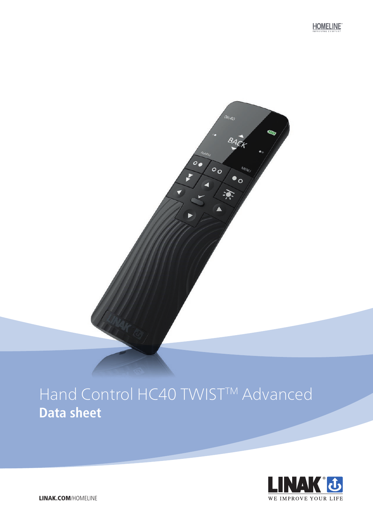**HOMELINE** 

# Hand Control HC40 TWIST<sup>TM</sup> Advanced **Data sheet**

06:40

 $\circ$ .

 $\circ$ .

84<sub>C</sub>

 $\bullet$ o

读



LINAK.COM/HOMELINE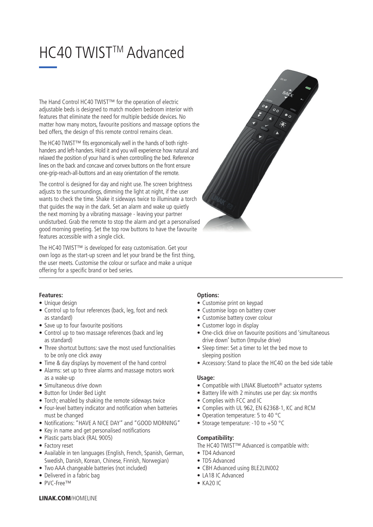# HC40 TWIST™ Advanced

The Hand Control HC40 TWIST™ for the operation of electric adjustable beds is designed to match modern bedroom interior with features that eliminate the need for multiple bedside devices. No matter how many motors, favourite positions and massage options the bed offers, the design of this remote control remains clean.

The HC40 TWIST™ fits ergonomically well in the hands of both righthanders and left-handers. Hold it and you will experience how natural and relaxed the position of your hand is when controlling the bed. Reference lines on the back and concave and convex buttons on the front ensure one-grip-reach-all-buttons and an easy orientation of the remote.

The control is designed for day and night use. The screen brightness adjusts to the surroundings, dimming the light at night, if the user wants to check the time. Shake it sideways twice to illuminate a torch that guides the way in the dark. Set an alarm and wake up quietly the next morning by a vibrating massage - leaving your partner undisturbed. Grab the remote to stop the alarm and get a personalised good morning greeting. Set the top row buttons to have the favourite features accessible with a single click.

The HC40 TWIST™ is developed for easy customisation. Get your own logo as the start-up screen and let your brand be the first thing, the user meets. Customise the colour or surface and make a unique offering for a specific brand or bed series.



### **Features:**

- Unique design
- Control up to four references (back, leg, foot and neck as standard)
- Save up to four favourite positions
- Control up to two massage references (back and leg as standard)
- Three shortcut buttons: save the most used functionalities to be only one click away
- Time & day displays by movement of the hand control
- Alarms: set up to three alarms and massage motors work as a wake-up
- Simultaneous drive down
- Button for Under Bed Light
- Torch; enabled by shaking the remote sideways twice
- Four-level battery indicator and notification when batteries must be changed
- Notifications: "HAVE A NICE DAY" and "GOOD MORNING"
- Key in name and get personalised notifications
- Plastic parts black (RAL 9005)
- Factory reset
- Available in ten languages (English, French, Spanish, German, Swedish, Danish, Korean, Chinese, Finnish, Norwegian)
- Two AAA changeable batteries (not included)
- Delivered in a fabric bag
- PVC-Free™

# **Options:**

- Customise print on keypad
- Customise logo on battery cover
- Customise battery cover colour
- Customer logo in display
- One-click drive on favourite positions and 'simultaneous drive down' button (Impulse drive)
- Sleep timer: Set a timer to let the bed move to sleeping position
- Accessory: Stand to place the HC40 on the bed side table

### **Usage:**

- Compatible with LINAK Bluetooth® actuator systems
- Battery life with 2 minutes use per day: six months
- Complies with FCC and IC
- Complies with UL 962, EN 62368-1, KC and RCM
- Operation temperature: 5 to 40 °C
- Storage temperature: -10 to +50 °C

# **Compatibility:**

The HC40 TWIST™ Advanced is compatible with:

- TD4 Advanced
- TD5 Advanced
- CBH Advanced using BLE2LIN002
- LA18 IC Advanced
- $\bullet$  KA20 IC

### LINAK.COM/HOMELINE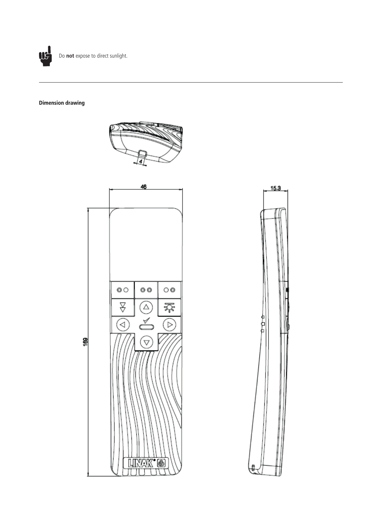

# **Dimension drawing**



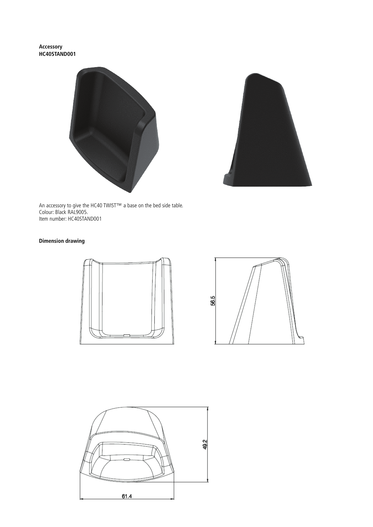**Accessory HC40STAND001**





An accessory to give the HC40 TWIST™ a base on the bed side table. Colour: Black RAL9005. Item number: HC40STAND001

# **Dimension drawing**